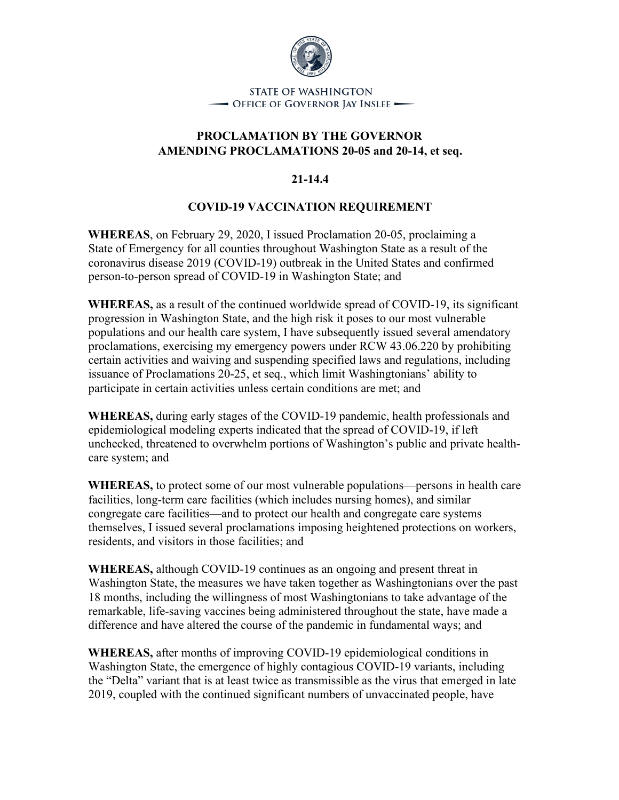

**STATE OF WASHINGTON** - OFFICE OF GOVERNOR JAY INSLEE -

## **PROCLAMATION BY THE GOVERNOR AMENDING PROCLAMATIONS 20-05 and 20-14, et seq.**

## **21-14.4**

## **COVID-19 VACCINATION REQUIREMENT**

**WHEREAS**, on February 29, 2020, I issued Proclamation 20-05, proclaiming a State of Emergency for all counties throughout Washington State as a result of the coronavirus disease 2019 (COVID-19) outbreak in the United States and confirmed person-to-person spread of COVID-19 in Washington State; and

**WHEREAS,** as a result of the continued worldwide spread of COVID-19, its significant progression in Washington State, and the high risk it poses to our most vulnerable populations and our health care system, I have subsequently issued several amendatory proclamations, exercising my emergency powers under RCW 43.06.220 by prohibiting certain activities and waiving and suspending specified laws and regulations, including issuance of Proclamations 20-25, et seq., which limit Washingtonians' ability to participate in certain activities unless certain conditions are met; and

**WHEREAS,** during early stages of the COVID-19 pandemic, health professionals and epidemiological modeling experts indicated that the spread of COVID-19, if left unchecked, threatened to overwhelm portions of Washington's public and private healthcare system; and

**WHEREAS,** to protect some of our most vulnerable populations—persons in health care facilities, long-term care facilities (which includes nursing homes), and similar congregate care facilities—and to protect our health and congregate care systems themselves, I issued several proclamations imposing heightened protections on workers, residents, and visitors in those facilities; and

**WHEREAS,** although COVID-19 continues as an ongoing and present threat in Washington State, the measures we have taken together as Washingtonians over the past 18 months, including the willingness of most Washingtonians to take advantage of the remarkable, life-saving vaccines being administered throughout the state, have made a difference and have altered the course of the pandemic in fundamental ways; and

**WHEREAS,** after months of improving COVID-19 epidemiological conditions in Washington State, the emergence of highly contagious COVID-19 variants, including the "Delta" variant that is at least twice as transmissible as the virus that emerged in late 2019, coupled with the continued significant numbers of unvaccinated people, have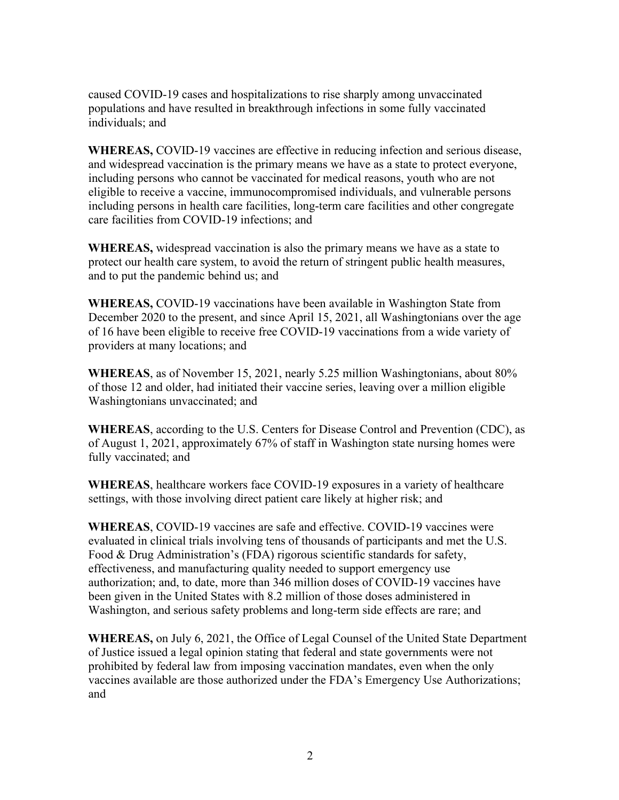caused COVID-19 cases and hospitalizations to rise sharply among unvaccinated populations and have resulted in breakthrough infections in some fully vaccinated individuals; and

**WHEREAS,** COVID-19 vaccines are effective in reducing infection and serious disease, and widespread vaccination is the primary means we have as a state to protect everyone, including persons who cannot be vaccinated for medical reasons, youth who are not eligible to receive a vaccine, immunocompromised individuals, and vulnerable persons including persons in health care facilities, long-term care facilities and other congregate care facilities from COVID-19 infections; and

**WHEREAS,** widespread vaccination is also the primary means we have as a state to protect our health care system, to avoid the return of stringent public health measures, and to put the pandemic behind us; and

**WHEREAS,** COVID-19 vaccinations have been available in Washington State from December 2020 to the present, and since April 15, 2021, all Washingtonians over the age of 16 have been eligible to receive free COVID-19 vaccinations from a wide variety of providers at many locations; and

**WHEREAS**, as of November 15, 2021, nearly 5.25 million Washingtonians, about 80% of those 12 and older, had initiated their vaccine series, leaving over a million eligible Washingtonians unvaccinated; and

**WHEREAS**, according to the U.S. Centers for Disease Control and Prevention (CDC), as of August 1, 2021, approximately 67% of staff in Washington state nursing homes were fully vaccinated; and

**WHEREAS**, healthcare workers face COVID-19 exposures in a variety of healthcare settings, with those involving direct patient care likely at higher risk; and

**WHEREAS**, COVID-19 vaccines are safe and effective. COVID-19 vaccines were evaluated in clinical trials involving tens of thousands of participants and met the U.S. Food & Drug Administration's (FDA) rigorous scientific standards for safety, effectiveness, and manufacturing quality needed to support emergency use authorization; and, to date, more than 346 million doses of COVID-19 vaccines have been given in the United States with 8.2 million of those doses administered in Washington, and serious safety problems and long-term side effects are rare; and

**WHEREAS,** on July 6, 2021, the Office of Legal Counsel of the United State Department of Justice issued a legal opinion stating that federal and state governments were not prohibited by federal law from imposing vaccination mandates, even when the only vaccines available are those authorized under the FDA's Emergency Use Authorizations; and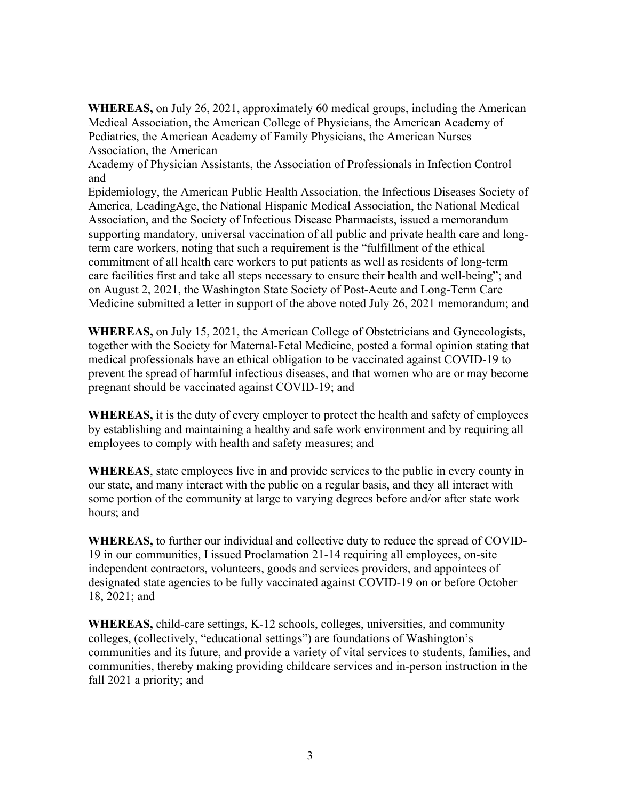**WHEREAS,** on July 26, 2021, approximately 60 medical groups, including the American Medical Association, the American College of Physicians, the American Academy of Pediatrics, the American Academy of Family Physicians, the American Nurses Association, the American

Academy of Physician Assistants, the Association of Professionals in Infection Control and

Epidemiology, the American Public Health Association, the Infectious Diseases Society of America, LeadingAge, the National Hispanic Medical Association, the National Medical Association, and the Society of Infectious Disease Pharmacists, issued a memorandum supporting mandatory, universal vaccination of all public and private health care and longterm care workers, noting that such a requirement is the "fulfillment of the ethical commitment of all health care workers to put patients as well as residents of long-term care facilities first and take all steps necessary to ensure their health and well-being"; and on August 2, 2021, the Washington State Society of Post-Acute and Long-Term Care Medicine submitted a letter in support of the above noted July 26, 2021 memorandum; and

**WHEREAS,** on July 15, 2021, the American College of Obstetricians and Gynecologists, together with the Society for Maternal-Fetal Medicine, posted a formal opinion stating that medical professionals have an ethical obligation to be vaccinated against COVID-19 to prevent the spread of harmful infectious diseases, and that women who are or may become pregnant should be vaccinated against COVID-19; and

**WHEREAS,** it is the duty of every employer to protect the health and safety of employees by establishing and maintaining a healthy and safe work environment and by requiring all employees to comply with health and safety measures; and

**WHEREAS**, state employees live in and provide services to the public in every county in our state, and many interact with the public on a regular basis, and they all interact with some portion of the community at large to varying degrees before and/or after state work hours; and

**WHEREAS,** to further our individual and collective duty to reduce the spread of COVID-19 in our communities, I issued Proclamation 21-14 requiring all employees, on-site independent contractors, volunteers, goods and services providers, and appointees of designated state agencies to be fully vaccinated against COVID-19 on or before October 18, 2021; and

**WHEREAS,** child-care settings, K-12 schools, colleges, universities, and community colleges, (collectively, "educational settings") are foundations of Washington's communities and its future, and provide a variety of vital services to students, families, and communities, thereby making providing childcare services and in-person instruction in the fall 2021 a priority; and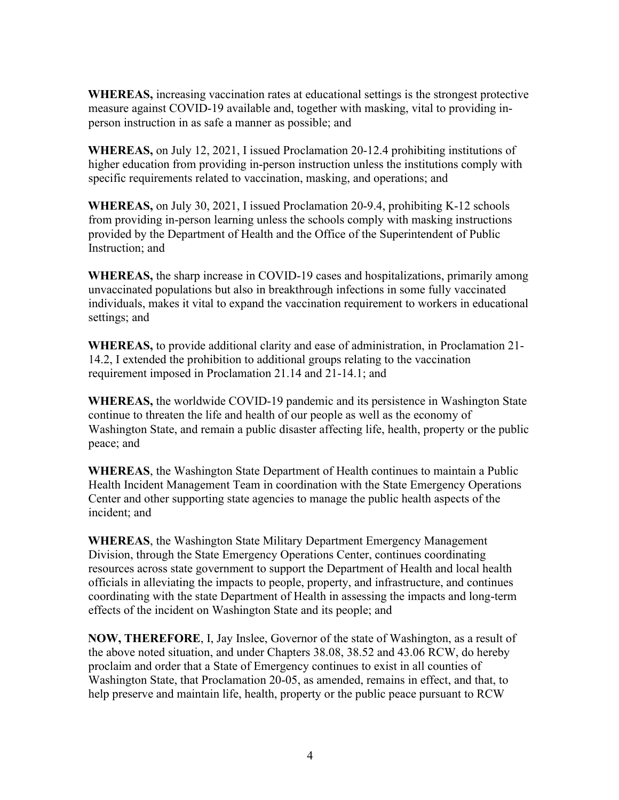**WHEREAS,** increasing vaccination rates at educational settings is the strongest protective measure against COVID-19 available and, together with masking, vital to providing inperson instruction in as safe a manner as possible; and

**WHEREAS,** on July 12, 2021, I issued Proclamation 20-12.4 prohibiting institutions of higher education from providing in-person instruction unless the institutions comply with specific requirements related to vaccination, masking, and operations; and

**WHEREAS,** on July 30, 2021, I issued Proclamation 20-9.4, prohibiting K-12 schools from providing in-person learning unless the schools comply with masking instructions provided by the Department of Health and the Office of the Superintendent of Public Instruction; and

**WHEREAS,** the sharp increase in COVID-19 cases and hospitalizations, primarily among unvaccinated populations but also in breakthrough infections in some fully vaccinated individuals, makes it vital to expand the vaccination requirement to workers in educational settings; and

**WHEREAS,** to provide additional clarity and ease of administration, in Proclamation 21- 14.2, I extended the prohibition to additional groups relating to the vaccination requirement imposed in Proclamation 21.14 and 21-14.1; and

**WHEREAS,** the worldwide COVID-19 pandemic and its persistence in Washington State continue to threaten the life and health of our people as well as the economy of Washington State, and remain a public disaster affecting life, health, property or the public peace; and

**WHEREAS**, the Washington State Department of Health continues to maintain a Public Health Incident Management Team in coordination with the State Emergency Operations Center and other supporting state agencies to manage the public health aspects of the incident; and

**WHEREAS**, the Washington State Military Department Emergency Management Division, through the State Emergency Operations Center, continues coordinating resources across state government to support the Department of Health and local health officials in alleviating the impacts to people, property, and infrastructure, and continues coordinating with the state Department of Health in assessing the impacts and long-term effects of the incident on Washington State and its people; and

**NOW, THEREFORE**, I, Jay Inslee, Governor of the state of Washington, as a result of the above noted situation, and under Chapters 38.08, 38.52 and 43.06 RCW, do hereby proclaim and order that a State of Emergency continues to exist in all counties of Washington State, that Proclamation 20-05, as amended, remains in effect, and that, to help preserve and maintain life, health, property or the public peace pursuant to RCW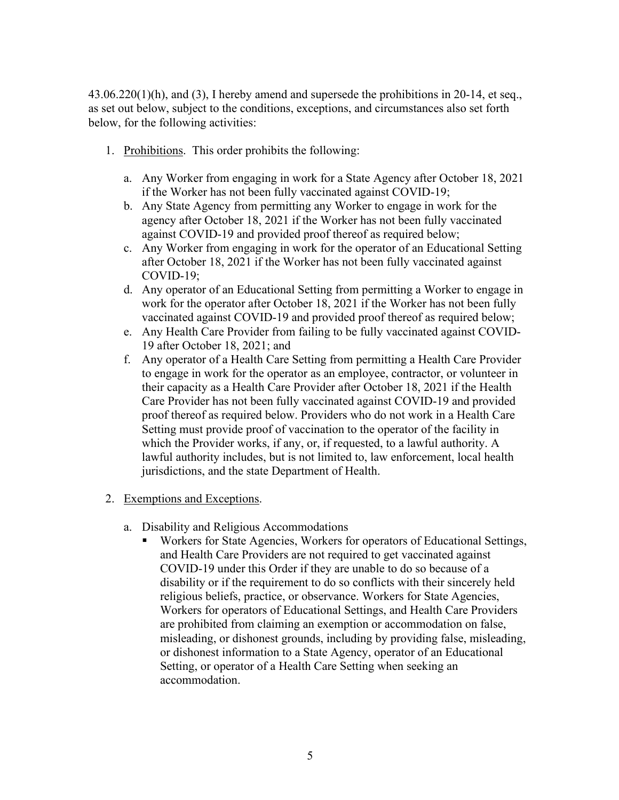43.06.220(1)(h), and (3), I hereby amend and supersede the prohibitions in 20-14, et seq., as set out below, subject to the conditions, exceptions, and circumstances also set forth below, for the following activities:

- 1. Prohibitions. This order prohibits the following:
	- a. Any Worker from engaging in work for a State Agency after October 18, 2021 if the Worker has not been fully vaccinated against COVID-19;
	- b. Any State Agency from permitting any Worker to engage in work for the agency after October 18, 2021 if the Worker has not been fully vaccinated against COVID-19 and provided proof thereof as required below;
	- c. Any Worker from engaging in work for the operator of an Educational Setting after October 18, 2021 if the Worker has not been fully vaccinated against COVID-19;
	- d. Any operator of an Educational Setting from permitting a Worker to engage in work for the operator after October 18, 2021 if the Worker has not been fully vaccinated against COVID-19 and provided proof thereof as required below;
	- e. Any Health Care Provider from failing to be fully vaccinated against COVID-19 after October 18, 2021; and
	- f. Any operator of a Health Care Setting from permitting a Health Care Provider to engage in work for the operator as an employee, contractor, or volunteer in their capacity as a Health Care Provider after October 18, 2021 if the Health Care Provider has not been fully vaccinated against COVID-19 and provided proof thereof as required below. Providers who do not work in a Health Care Setting must provide proof of vaccination to the operator of the facility in which the Provider works, if any, or, if requested, to a lawful authority. A lawful authority includes, but is not limited to, law enforcement, local health jurisdictions, and the state Department of Health.
- 2. Exemptions and Exceptions.
	- a. Disability and Religious Accommodations<br>Workers for State Agencies Workers for
		- Workers for State Agencies, Workers for operators of Educational Settings, and Health Care Providers are not required to get vaccinated against COVID-19 under this Order if they are unable to do so because of a disability or if the requirement to do so conflicts with their sincerely held religious beliefs, practice, or observance. Workers for State Agencies, Workers for operators of Educational Settings, and Health Care Providers are prohibited from claiming an exemption or accommodation on false, misleading, or dishonest grounds, including by providing false, misleading, or dishonest information to a State Agency, operator of an Educational Setting, or operator of a Health Care Setting when seeking an accommodation.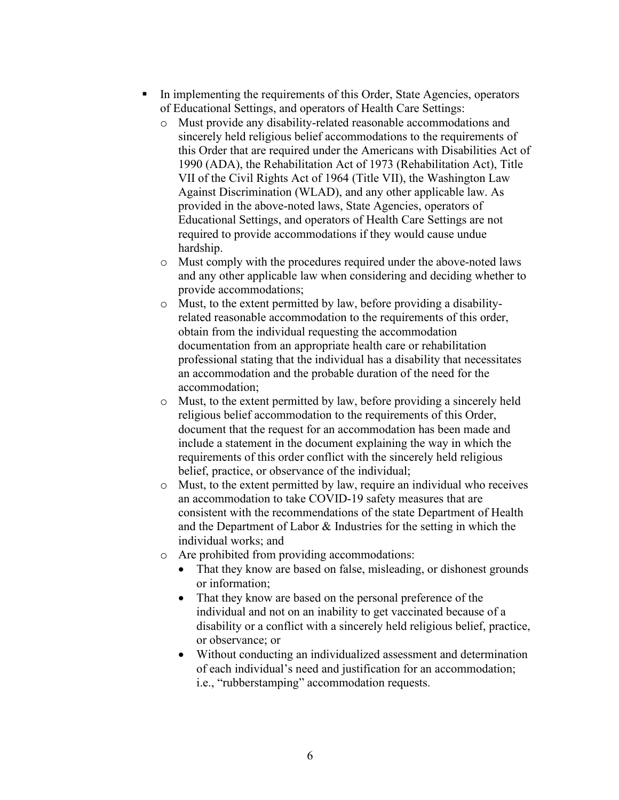- In implementing the requirements of this Order, State Agencies, operators of Educational Settings, and operators of Health Care Settings:
	- o Must provide any disability-related reasonable accommodations and sincerely held religious belief accommodations to the requirements of this Order that are required under the Americans with Disabilities Act of 1990 (ADA), the Rehabilitation Act of 1973 (Rehabilitation Act), Title VII of the Civil Rights Act of 1964 (Title VII), the Washington Law Against Discrimination (WLAD), and any other applicable law. As provided in the above-noted laws, State Agencies, operators of Educational Settings, and operators of Health Care Settings are not required to provide accommodations if they would cause undue hardship.
	- o Must comply with the procedures required under the above-noted laws and any other applicable law when considering and deciding whether to provide accommodations;
	- o Must, to the extent permitted by law, before providing a disabilityrelated reasonable accommodation to the requirements of this order, obtain from the individual requesting the accommodation documentation from an appropriate health care or rehabilitation professional stating that the individual has a disability that necessitates an accommodation and the probable duration of the need for the accommodation;
	- o Must, to the extent permitted by law, before providing a sincerely held religious belief accommodation to the requirements of this Order, document that the request for an accommodation has been made and include a statement in the document explaining the way in which the requirements of this order conflict with the sincerely held religious belief, practice, or observance of the individual;
	- o Must, to the extent permitted by law, require an individual who receives an accommodation to take COVID-19 safety measures that are consistent with the recommendations of the state Department of Health and the Department of Labor & Industries for the setting in which the individual works; and
	- o Are prohibited from providing accommodations:
		- That they know are based on false, misleading, or dishonest grounds or information;
		- That they know are based on the personal preference of the individual and not on an inability to get vaccinated because of a disability or a conflict with a sincerely held religious belief, practice, or observance; or
		- Without conducting an individualized assessment and determination of each individual's need and justification for an accommodation; i.e., "rubberstamping" accommodation requests.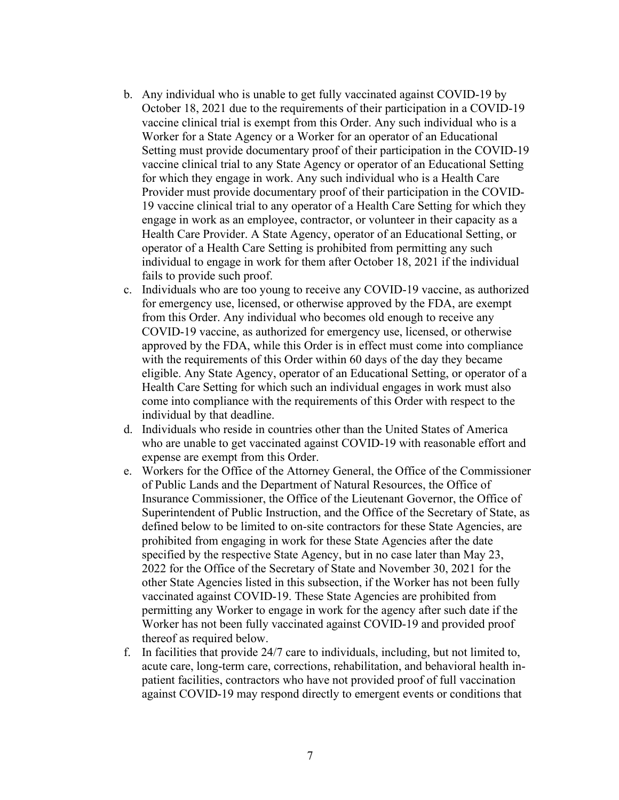- b. Any individual who is unable to get fully vaccinated against COVID-19 by October 18, 2021 due to the requirements of their participation in a COVID-19 vaccine clinical trial is exempt from this Order. Any such individual who is a Worker for a State Agency or a Worker for an operator of an Educational Setting must provide documentary proof of their participation in the COVID-19 vaccine clinical trial to any State Agency or operator of an Educational Setting for which they engage in work. Any such individual who is a Health Care Provider must provide documentary proof of their participation in the COVID-19 vaccine clinical trial to any operator of a Health Care Setting for which they engage in work as an employee, contractor, or volunteer in their capacity as a Health Care Provider. A State Agency, operator of an Educational Setting, or operator of a Health Care Setting is prohibited from permitting any such individual to engage in work for them after October 18, 2021 if the individual fails to provide such proof.
- c. Individuals who are too young to receive any COVID-19 vaccine, as authorized for emergency use, licensed, or otherwise approved by the FDA, are exempt from this Order. Any individual who becomes old enough to receive any COVID-19 vaccine, as authorized for emergency use, licensed, or otherwise approved by the FDA, while this Order is in effect must come into compliance with the requirements of this Order within 60 days of the day they became eligible. Any State Agency, operator of an Educational Setting, or operator of a Health Care Setting for which such an individual engages in work must also come into compliance with the requirements of this Order with respect to the individual by that deadline.
- d. Individuals who reside in countries other than the United States of America who are unable to get vaccinated against COVID-19 with reasonable effort and expense are exempt from this Order.
- e. Workers for the Office of the Attorney General, the Office of the Commissioner of Public Lands and the Department of Natural Resources, the Office of Insurance Commissioner, the Office of the Lieutenant Governor, the Office of Superintendent of Public Instruction, and the Office of the Secretary of State, as defined below to be limited to on-site contractors for these State Agencies, are prohibited from engaging in work for these State Agencies after the date specified by the respective State Agency, but in no case later than May 23, 2022 for the Office of the Secretary of State and November 30, 2021 for the other State Agencies listed in this subsection, if the Worker has not been fully vaccinated against COVID-19. These State Agencies are prohibited from permitting any Worker to engage in work for the agency after such date if the Worker has not been fully vaccinated against COVID-19 and provided proof thereof as required below.
- f. In facilities that provide 24/7 care to individuals, including, but not limited to, acute care, long-term care, corrections, rehabilitation, and behavioral health inpatient facilities, contractors who have not provided proof of full vaccination against COVID-19 may respond directly to emergent events or conditions that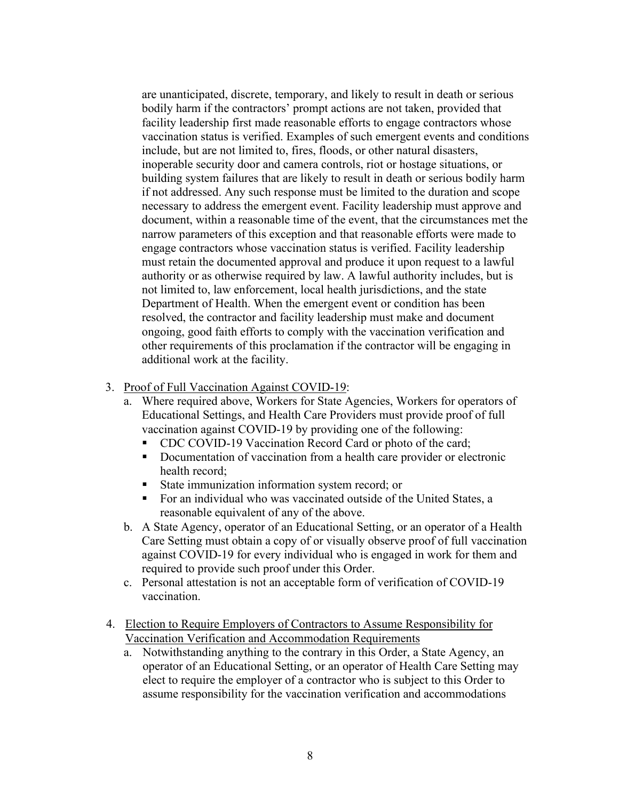are unanticipated, discrete, temporary, and likely to result in death or serious bodily harm if the contractors' prompt actions are not taken, provided that facility leadership first made reasonable efforts to engage contractors whose vaccination status is verified. Examples of such emergent events and conditions include, but are not limited to, fires, floods, or other natural disasters, inoperable security door and camera controls, riot or hostage situations, or building system failures that are likely to result in death or serious bodily harm if not addressed. Any such response must be limited to the duration and scope necessary to address the emergent event. Facility leadership must approve and document, within a reasonable time of the event, that the circumstances met the narrow parameters of this exception and that reasonable efforts were made to engage contractors whose vaccination status is verified. Facility leadership must retain the documented approval and produce it upon request to a lawful authority or as otherwise required by law. A lawful authority includes, but is not limited to, law enforcement, local health jurisdictions, and the state Department of Health. When the emergent event or condition has been resolved, the contractor and facility leadership must make and document ongoing, good faith efforts to comply with the vaccination verification and other requirements of this proclamation if the contractor will be engaging in additional work at the facility.

- 3. Proof of Full Vaccination Against COVID-19:
	- a. Where required above, Workers for State Agencies, Workers for operators of Educational Settings, and Health Care Providers must provide proof of full vaccination against COVID-19 by providing one of the following:
		- **CDC COVID-19 Vaccination Record Card or photo of the card;**
		- Documentation of vaccination from a health care provider or electronic health record;
		- State immunization information system record; or
		- For an individual who was vaccinated outside of the United States, a reasonable equivalent of any of the above.
	- b. A State Agency, operator of an Educational Setting, or an operator of a Health Care Setting must obtain a copy of or visually observe proof of full vaccination against COVID-19 for every individual who is engaged in work for them and required to provide such proof under this Order.
	- c. Personal attestation is not an acceptable form of verification of COVID-19 vaccination.
- 4. Election to Require Employers of Contractors to Assume Responsibility for Vaccination Verification and Accommodation Requirements
	- a. Notwithstanding anything to the contrary in this Order, a State Agency, an operator of an Educational Setting, or an operator of Health Care Setting may elect to require the employer of a contractor who is subject to this Order to assume responsibility for the vaccination verification and accommodations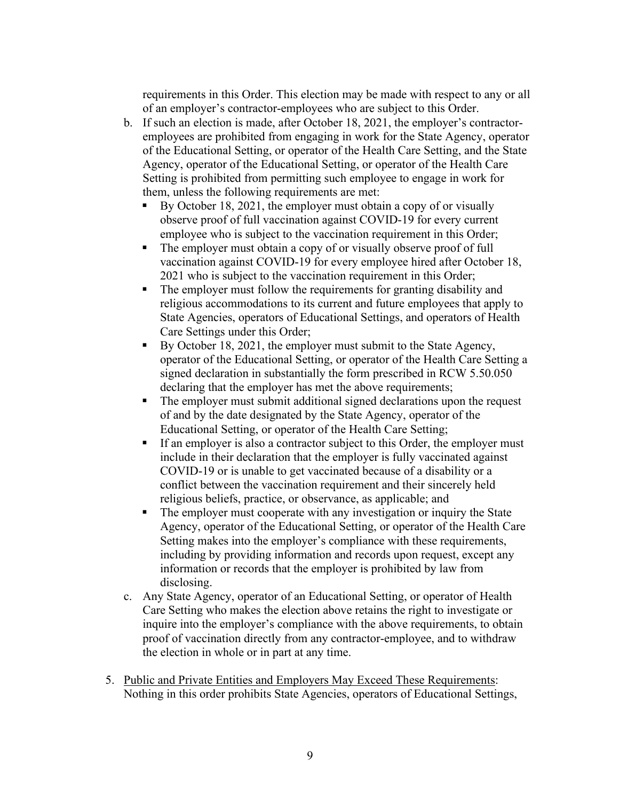requirements in this Order. This election may be made with respect to any or all of an employer's contractor-employees who are subject to this Order.

- b. If such an election is made, after October 18, 2021, the employer's contractoremployees are prohibited from engaging in work for the State Agency, operator of the Educational Setting, or operator of the Health Care Setting, and the State Agency, operator of the Educational Setting, or operator of the Health Care Setting is prohibited from permitting such employee to engage in work for them, unless the following requirements are met:
	- By October 18, 2021, the employer must obtain a copy of or visually observe proof of full vaccination against COVID-19 for every current employee who is subject to the vaccination requirement in this Order;
	- The employer must obtain a copy of or visually observe proof of full vaccination against COVID-19 for every employee hired after October 18, 2021 who is subject to the vaccination requirement in this Order;
	- The employer must follow the requirements for granting disability and religious accommodations to its current and future employees that apply to State Agencies, operators of Educational Settings, and operators of Health Care Settings under this Order;
	- By October 18, 2021, the employer must submit to the State Agency, operator of the Educational Setting, or operator of the Health Care Setting a signed declaration in substantially the form prescribed in RCW 5.50.050 declaring that the employer has met the above requirements;
	- The employer must submit additional signed declarations upon the request of and by the date designated by the State Agency, operator of the Educational Setting, or operator of the Health Care Setting;
	- If an employer is also a contractor subject to this Order, the employer must include in their declaration that the employer is fully vaccinated against COVID-19 or is unable to get vaccinated because of a disability or a conflict between the vaccination requirement and their sincerely held religious beliefs, practice, or observance, as applicable; and
	- The employer must cooperate with any investigation or inquiry the State Agency, operator of the Educational Setting, or operator of the Health Care Setting makes into the employer's compliance with these requirements, including by providing information and records upon request, except any information or records that the employer is prohibited by law from disclosing.
- c. Any State Agency, operator of an Educational Setting, or operator of Health Care Setting who makes the election above retains the right to investigate or inquire into the employer's compliance with the above requirements, to obtain proof of vaccination directly from any contractor-employee, and to withdraw the election in whole or in part at any time.
- 5. Public and Private Entities and Employers May Exceed These Requirements: Nothing in this order prohibits State Agencies, operators of Educational Settings,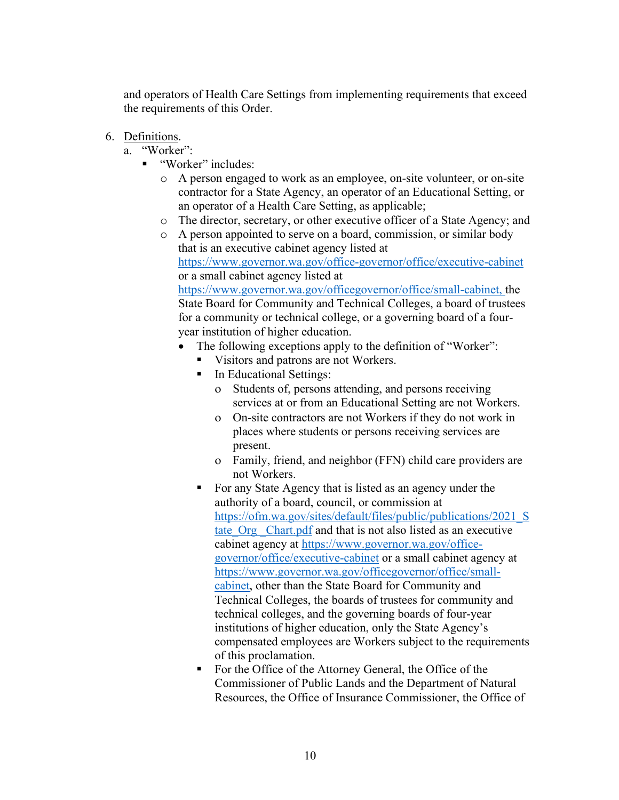and operators of Health Care Settings from implementing requirements that exceed the requirements of this Order.

- 6. Definitions.
	- a. "Worker":
		- "Worker" includes:
			- o A person engaged to work as an employee, on-site volunteer, or on-site contractor for a State Agency, an operator of an Educational Setting, or an operator of a Health Care Setting, as applicable;
			- o The director, secretary, or other executive officer of a State Agency; and
			- o A person appointed to serve on a board, commission, or similar body that is an executive cabinet agency listed at <https://www.governor.wa.gov/office-governor/office/executive-cabinet> or a small cabinet agency listed at [https://www.governor.wa.gov/officegovernor/office/small-cabinet,](https://www.governor.wa.gov/office-governor/office/small-cabinet) the

State Board for Community and Technical Colleges, a board of trustees for a community or technical college, or a governing board of a fouryear institution of higher educatio[n.](https://www.governor.wa.gov/office-governor/office/small-cabinet) 

- The following exceptions apply to the definition of "Worker":
	- Visitors and patrons are not Workers.
	- **In Educational Settings:** 
		- ο Students of, persons attending, and persons receiving services at or from an Educational Setting are not Workers.
		- ο On-site contractors are not Workers if they do not work in places where students or persons receiving services are present.
		- ο Family, friend, and neighbor (FFN) child care providers are not Workers.
	- For any State Agency that is listed as an agency under the authority of a board, council, or commission at [https://ofm.wa.gov/sites/default/files/public/publications/2021\\_S](https://ofm.wa.gov/sites/default/files/public/publications/2021_State_Org_Chart.pdf) t[a](https://ofm.wa.gov/sites/default/files/public/publications/2021_State_Org_Chart.pdf)te Org Chart.pdf and that is not also listed as an executive cabinet agency at [https://www.governor.wa.gov/office](https://www.governor.wa.gov/office-governor/office/executive-cabinet)[governor/office/executive-cabinet](https://www.governor.wa.gov/office-governor/office/executive-cabinet) [o](https://www.governor.wa.gov/office-governor/office/executive-cabinet)r a small cabinet agency at [https://www.governor.wa.gov/officegovernor/office/small](https://www.governor.wa.gov/office-governor/office/small-cabinet)[cabinet,](https://www.governor.wa.gov/office-governor/office/small-cabinet) other than the State Board for Community and Technical Colleges, the boards of trustees for community and technical colleges, and the governing boards of four-year institutions of higher education, only the State Agency's compensated employees are Workers subject to the requirements of this proclamation.
	- For the Office of the Attorney General, the Office of the Commissioner of Public Lands and the Department of Natural Resources, the Office of Insurance Commissioner, the Office of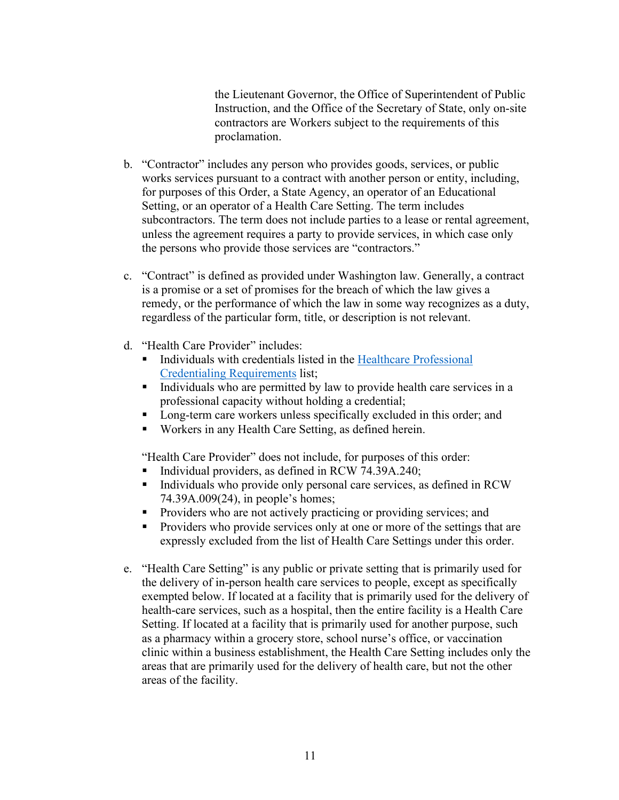the Lieutenant Governor, the Office of Superintendent of Public Instruction, and the Office of the Secretary of State, only on-site contractors are Workers subject to the requirements of this proclamation.

- b. "Contractor" includes any person who provides goods, services, or public works services pursuant to a contract with another person or entity, including, for purposes of this Order, a State Agency, an operator of an Educational Setting, or an operator of a Health Care Setting. The term includes subcontractors. The term does not include parties to a lease or rental agreement, unless the agreement requires a party to provide services, in which case only the persons who provide those services are "contractors."
- c. "Contract" is defined as provided under Washington law. Generally, a contract is a promise or a set of promises for the breach of which the law gives a remedy, or the performance of which the law in some way recognizes as a duty, regardless of the particular form, title, or description is not relevant.
- d. "Health Care Provider" includes:
	- Individuals with credentials listed in the [Healthcare Professional](https://gcc02.safelinks.protection.outlook.com/?url=https%3A%2F%2Fwww.doh.wa.gov%2FLicensesPermitsandCertificates%2FProfessionsNewReneworUpdate%2FHealthcareProfessionalCredentialingRequirements&data=04%7C01%7Ceric.sonju%40atg.wa.gov%7C48f3eb7333804a20fc1e08d947ec0aa5%7C2cc5baaf3b9742c9bcb8392cad34af3f%7C0%7C1%7C637619901397940872%7CUnknown%7CTWFpbGZsb3d8eyJWIjoiMC4wLjAwMDAiLCJQIjoiV2luMzIiLCJBTiI6Ik1haWwiLCJXVCI6Mn0%3D%7C1000&sdata=XYAtOfny4dg8vNMoi4AsGQgPwwN%2FBKywbkfZT7kGtEo%3D&reserved=0) [Credentialing Requirements](https://gcc02.safelinks.protection.outlook.com/?url=https%3A%2F%2Fwww.doh.wa.gov%2FLicensesPermitsandCertificates%2FProfessionsNewReneworUpdate%2FHealthcareProfessionalCredentialingRequirements&data=04%7C01%7Ceric.sonju%40atg.wa.gov%7C48f3eb7333804a20fc1e08d947ec0aa5%7C2cc5baaf3b9742c9bcb8392cad34af3f%7C0%7C1%7C637619901397940872%7CUnknown%7CTWFpbGZsb3d8eyJWIjoiMC4wLjAwMDAiLCJQIjoiV2luMzIiLCJBTiI6Ik1haWwiLCJXVCI6Mn0%3D%7C1000&sdata=XYAtOfny4dg8vNMoi4AsGQgPwwN%2FBKywbkfZT7kGtEo%3D&reserved=0) [l](https://gcc02.safelinks.protection.outlook.com/?url=https%3A%2F%2Fwww.doh.wa.gov%2FLicensesPermitsandCertificates%2FProfessionsNewReneworUpdate%2FHealthcareProfessionalCredentialingRequirements&data=04%7C01%7Ceric.sonju%40atg.wa.gov%7C48f3eb7333804a20fc1e08d947ec0aa5%7C2cc5baaf3b9742c9bcb8392cad34af3f%7C0%7C1%7C637619901397940872%7CUnknown%7CTWFpbGZsb3d8eyJWIjoiMC4wLjAwMDAiLCJQIjoiV2luMzIiLCJBTiI6Ik1haWwiLCJXVCI6Mn0%3D%7C1000&sdata=XYAtOfny4dg8vNMoi4AsGQgPwwN%2FBKywbkfZT7kGtEo%3D&reserved=0)ist;
	- Individuals who are permitted by law to provide health care services in a professional capacity without holding a credential;
	- **Long-term care workers unless specifically excluded in this order; and**
	- Workers in any Health Care Setting, as defined herein.

"Health Care Provider" does not include, for purposes of this order:

- Individual providers, as defined in RCW 74.39A.240;
- Individuals who provide only personal care services, as defined in RCW 74.39A.009(24), in people's homes;
- **Providers who are not actively practicing or providing services; and**
- **Providers who provide services only at one or more of the settings that are** expressly excluded from the list of Health Care Settings under this order.
- e. "Health Care Setting" is any public or private setting that is primarily used for the delivery of in-person health care services to people, except as specifically exempted below. If located at a facility that is primarily used for the delivery of health-care services, such as a hospital, then the entire facility is a Health Care Setting. If located at a facility that is primarily used for another purpose, such as a pharmacy within a grocery store, school nurse's office, or vaccination clinic within a business establishment, the Health Care Setting includes only the areas that are primarily used for the delivery of health care, but not the other areas of the facility.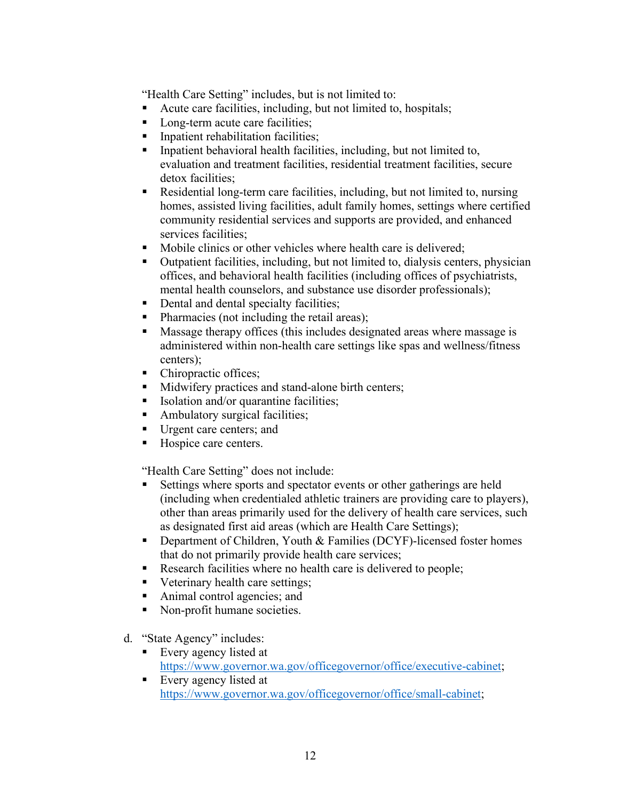"Health Care Setting" includes, but is not limited to:

- Acute care facilities, including, but not limited to, hospitals;
- Long-term acute care facilities;
- **Inpatient rehabilitation facilities;**
- **Inpatient behavioral health facilities, including, but not limited to,** evaluation and treatment facilities, residential treatment facilities, secure detox facilities:
- Residential long-term care facilities, including, but not limited to, nursing homes, assisted living facilities, adult family homes, settings where certified community residential services and supports are provided, and enhanced services facilities:
- Mobile clinics or other vehicles where health care is delivered;
- Outpatient facilities, including, but not limited to, dialysis centers, physician offices, and behavioral health facilities (including offices of psychiatrists, mental health counselors, and substance use disorder professionals);
- Dental and dental specialty facilities;
- Pharmacies (not including the retail areas);
- **Massage therapy offices (this includes designated areas where massage is** administered within non-health care settings like spas and wellness/fitness centers);
- Chiropractic offices;
- Midwifery practices and stand-alone birth centers;
- Isolation and/or quarantine facilities;
- Ambulatory surgical facilities;
- Urgent care centers; and
- Hospice care centers.

"Health Care Setting" does not include:

- Settings where sports and spectator events or other gatherings are held (including when credentialed athletic trainers are providing care to players), other than areas primarily used for the delivery of health care services, such as designated first aid areas (which are Health Care Settings);
- **Department of Children, Youth & Families (DCYF)-licensed foster homes** that do not primarily provide health care services;
- Research facilities where no health care is delivered to people;
- Veterinary health care settings;
- Animal control agencies; and
- Non-profit humane societies.
- d. "State Agency" includes:
	- Every agency listed at [https://www.governor.wa.gov/officegovernor/office/executive-cabinet;](https://www.governor.wa.gov/office-governor/office/executive-cabinet)
	- Every agency listed at [https://www.governor.wa.gov/officegovernor/office/small-cabinet;](https://www.governor.wa.gov/office-governor/office/small-cabinet)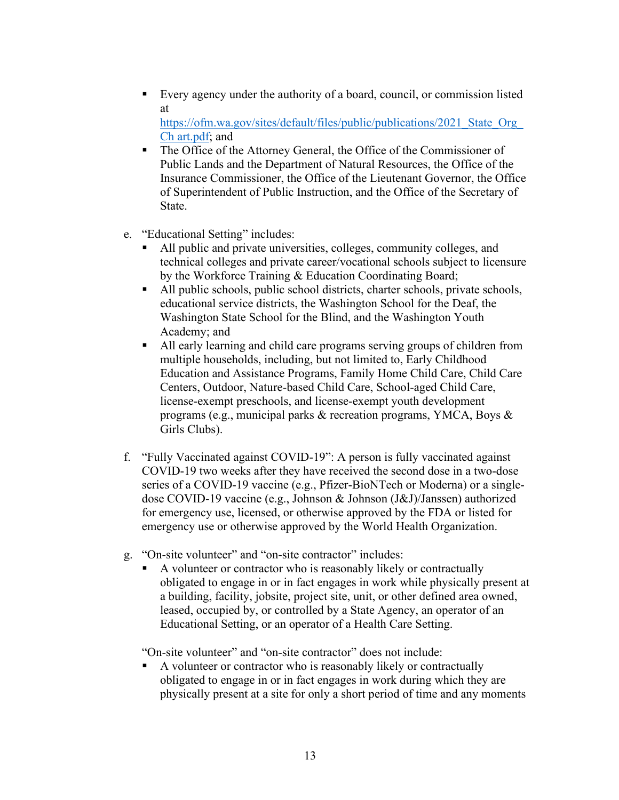Every agency under the authority of a board, council, or commission listed at

https://ofm.wa.gov/sites/default/files/public/publications/2021 State Org [Ch art.pdf;](https://ofm.wa.gov/sites/default/files/public/publications/2021_State_Org_Chart.pdf) and

- The Office of the Attorney General, the Office of the Commissioner of Public Lands and the Department of Natural Resources, the Office of the Insurance Commissioner, the Office of the Lieutenant Governor, the Office of Superintendent of Public Instruction, and the Office of the Secretary of State.
- e. "Educational Setting" includes:
	- All public and private universities, colleges, community colleges, and technical colleges and private career/vocational schools subject to licensure by the Workforce Training & Education Coordinating Board;
	- All public schools, public school districts, charter schools, private schools, educational service districts, the Washington School for the Deaf, the Washington State School for the Blind, and the Washington Youth Academy; and
	- All early learning and child care programs serving groups of children from multiple households, including, but not limited to, Early Childhood Education and Assistance Programs, Family Home Child Care, Child Care Centers, Outdoor, Nature-based Child Care, School-aged Child Care, license-exempt preschools, and license-exempt youth development programs (e.g., municipal parks & recreation programs, YMCA, Boys & Girls Clubs).
- f. "Fully Vaccinated against COVID-19": A person is fully vaccinated against COVID-19 two weeks after they have received the second dose in a two-dose series of a COVID-19 vaccine (e.g., Pfizer-BioNTech or Moderna) or a singledose COVID-19 vaccine (e.g., Johnson & Johnson (J&J)/Janssen) authorized for emergency use, licensed, or otherwise approved by the FDA or listed for emergency use or otherwise approved by the World Health Organization.
- g. "On-site volunteer" and "on-site contractor" includes:
	- A volunteer or contractor who is reasonably likely or contractually obligated to engage in or in fact engages in work while physically present at a building, facility, jobsite, project site, unit, or other defined area owned, leased, occupied by, or controlled by a State Agency, an operator of an Educational Setting, or an operator of a Health Care Setting.

"On-site volunteer" and "on-site contractor" does not include:

A volunteer or contractor who is reasonably likely or contractually obligated to engage in or in fact engages in work during which they are physically present at a site for only a short period of time and any moments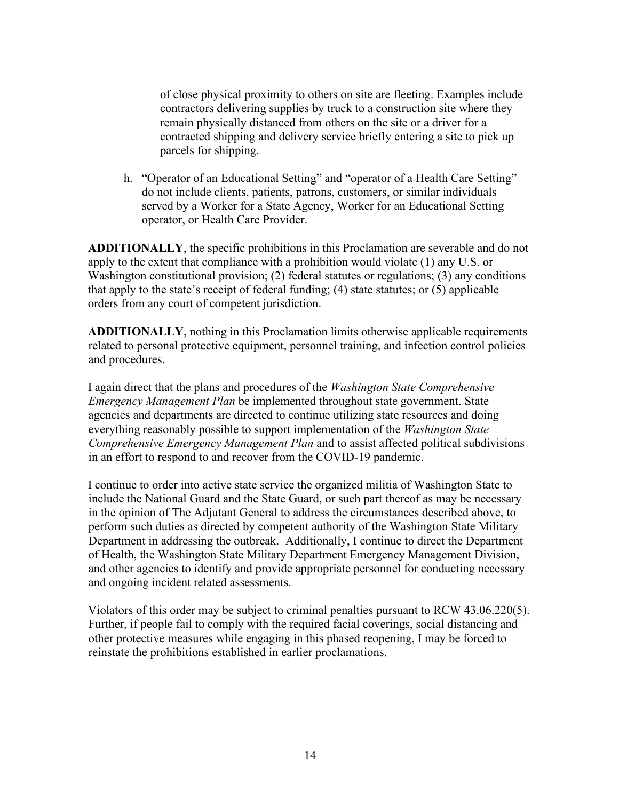of close physical proximity to others on site are fleeting. Examples include contractors delivering supplies by truck to a construction site where they remain physically distanced from others on the site or a driver for a contracted shipping and delivery service briefly entering a site to pick up parcels for shipping.

h. "Operator of an Educational Setting" and "operator of a Health Care Setting" do not include clients, patients, patrons, customers, or similar individuals served by a Worker for a State Agency, Worker for an Educational Setting operator, or Health Care Provider.

**ADDITIONALLY**, the specific prohibitions in this Proclamation are severable and do not apply to the extent that compliance with a prohibition would violate (1) any U.S. or Washington constitutional provision; (2) federal statutes or regulations; (3) any conditions that apply to the state's receipt of federal funding; (4) state statutes; or (5) applicable orders from any court of competent jurisdiction.

**ADDITIONALLY**, nothing in this Proclamation limits otherwise applicable requirements related to personal protective equipment, personnel training, and infection control policies and procedures.

I again direct that the plans and procedures of the *Washington State Comprehensive Emergency Management Plan* be implemented throughout state government. State agencies and departments are directed to continue utilizing state resources and doing everything reasonably possible to support implementation of the *Washington State Comprehensive Emergency Management Plan* and to assist affected political subdivisions in an effort to respond to and recover from the COVID-19 pandemic.

I continue to order into active state service the organized militia of Washington State to include the National Guard and the State Guard, or such part thereof as may be necessary in the opinion of The Adjutant General to address the circumstances described above, to perform such duties as directed by competent authority of the Washington State Military Department in addressing the outbreak. Additionally, I continue to direct the Department of Health, the Washington State Military Department Emergency Management Division, and other agencies to identify and provide appropriate personnel for conducting necessary and ongoing incident related assessments.

Violators of this order may be subject to criminal penalties pursuant to RCW 43.06.220(5). Further, if people fail to comply with the required facial coverings, social distancing and other protective measures while engaging in this phased reopening, I may be forced to reinstate the prohibitions established in earlier proclamations.